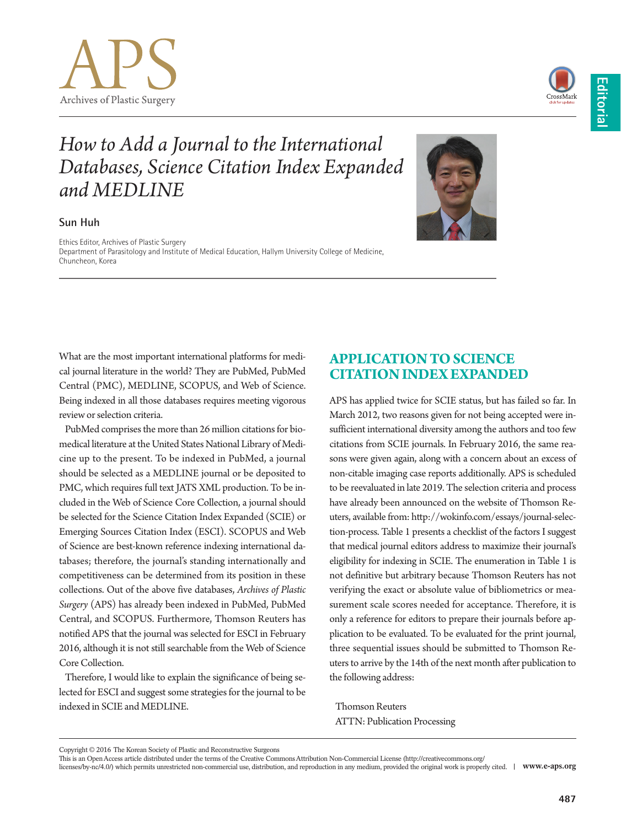



# *How to Add a Journal to the International Databases, Science Citation Index Expanded and MEDLINE*

#### **Sun Huh**

Ethics Editor, Archives of Plastic Surgery Department of Parasitology and Institute of Medical Education, Hallym University College of Medicine, Chuncheon, Korea



PubMed comprises the more than 26 million citations for biomedical literature at the United States National Library of Medicine up to the present. To be indexed in PubMed, a journal should be selected as a MEDLINE journal or be deposited to PMC, which requires full text JATS XML production. To be included in the Web of Science Core Collection, a journal should be selected for the Science Citation Index Expanded (SCIE) or Emerging Sources Citation Index (ESCI). SCOPUS and Web of Science are best-known reference indexing international databases; therefore, the journal's standing internationally and competitiveness can be determined from its position in these collections. Out of the above five databases, *Archives of Plastic Surgery* (APS) has already been indexed in PubMed, PubMed Central, and SCOPUS. Furthermore, Thomson Reuters has notified APS that the journal was selected for ESCI in February 2016, although it is not still searchable from the Web of Science Core Collection.

Therefore, I would like to explain the significance of being selected for ESCI and suggest some strategies for the journal to be indexed in SCIE and MEDLINE.

# **APPLICATION TO SCIENCE CITATION INDEX EXPANDED**

APS has applied twice for SCIE status, but has failed so far. In March 2012, two reasons given for not being accepted were insufficient international diversity among the authors and too few citations from SCIE journals. In February 2016, the same reasons were given again, along with a concern about an excess of non-citable imaging case reports additionally. APS is scheduled to be reevaluated in late 2019. The selection criteria and process have already been announced on the website of Thomson Reuters, available from: http://wokinfo.com/essays/journal-selection-process. Table 1 presents a checklist of the factors I suggest that medical journal editors address to maximize their journal's eligibility for indexing in SCIE. The enumeration in Table 1 is not definitive but arbitrary because Thomson Reuters has not verifying the exact or absolute value of bibliometrics or measurement scale scores needed for acceptance. Therefore, it is only a reference for editors to prepare their journals before application to be evaluated. To be evaluated for the print journal, three sequential issues should be submitted to Thomson Reuters to arrive by the 14th of the next month after publication to the following address:

Thomson Reuters ATTN: Publication Processing

Copyright © 2016 The Korean Society of Plastic and Reconstructive Surgeons

This is an Open Access article distributed under the terms of the Creative Commons Attribution Non-Commercial License (http://creativecommons.org/ licenses/by-nc/4.0/) which permits unrestricted non-commercial use, distribution, and reproduction in any medium, provided the original work is properly cited. **www.e-aps.org**

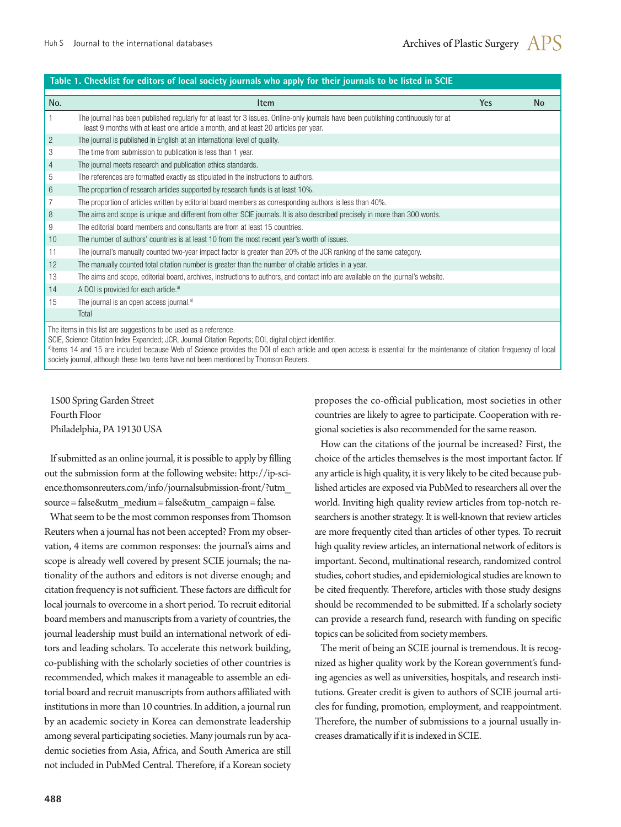#### **No. Item Yes No** 1 The journal has been published regularly for at least for 3 issues. Online-only journals have been publishing continuously for at least 9 months with at least one article a month, and at least 20 articles per year. 2 The journal is published in English at an international level of quality 3 The time from submission to publication is less than 1 year. 4 The journal meets research and publication ethics standards. 5 The references are formatted exactly as stipulated in the instructions to authors. 6 The proportion of research articles supported by research funds is at least 10%. 7 The proportion of articles written by editorial board members as corresponding authors is less than 40%. 8 The aims and scope is unique and different from other SCIE journals. It is also described precisely in more than 300 words. 9 The editorial board members and consultants are from at least 15 countries. 10 The number of authors' countries is at least 10 from the most recent year's worth of issues. 11 The journal's manually counted two-year impact factor is greater than 20% of the JCR ranking of the same category. 12 The manually counted total citation number is greater than the number of citable articles in a year. 13 The aims and scope, editorial board, archives, instructions to authors, and contact info are available on the journal's website. 14  $\blacksquare$  A DOI is provided for each article.<sup>a)</sup> 15 The journal is an open access journal.<sup>a)</sup> **Total**  The items in this list are suggestions to be used as a reference. **Table 1. Checklist for editors of local society journals who apply for their journals to be listed in SCIE**

SCIE, Science Citation Index Expanded; JCR, Journal Citation Reports; DOI, digital object identifier.

<sup>a</sup>ltems 14 and 15 are included because Web of Science provides the DOI of each article and open access is essential for the maintenance of citation frequency of local society journal, although these two items have not been mentioned by Thomson Reuters.

1500 Spring Garden Street Fourth Floor Philadelphia, PA 19130 USA

If submitted as an online journal, it is possible to apply by filling out the submission form at the following website: http://ip-science.thomsonreuters.com/info/journalsubmission-front/?utm\_ source = false&utm\_medium = false&utm\_campaign = false.

What seem to be the most common responses from Thomson Reuters when a journal has not been accepted? From my observation, 4 items are common responses: the journal's aims and scope is already well covered by present SCIE journals; the nationality of the authors and editors is not diverse enough; and citation frequency is not sufficient. These factors are difficult for local journals to overcome in a short period. To recruit editorial board members and manuscripts from a variety of countries, the journal leadership must build an international network of editors and leading scholars. To accelerate this network building, co-publishing with the scholarly societies of other countries is recommended, which makes it manageable to assemble an editorial board and recruit manuscripts from authors affiliated with institutions in more than 10 countries. In addition, a journal run by an academic society in Korea can demonstrate leadership among several participating societies. Many journals run by academic societies from Asia, Africa, and South America are still not included in PubMed Central. Therefore, if a Korean society

proposes the co-official publication, most societies in other countries are likely to agree to participate. Cooperation with regional societies is also recommended for the same reason.

How can the citations of the journal be increased? First, the choice of the articles themselves is the most important factor. If any article is high quality, it is very likely to be cited because published articles are exposed via PubMed to researchers all over the world. Inviting high quality review articles from top-notch researchers is another strategy. It is well-known that review articles are more frequently cited than articles of other types. To recruit high quality review articles, an international network of editors is important. Second, multinational research, randomized control studies, cohort studies, and epidemiological studies are known to be cited frequently. Therefore, articles with those study designs should be recommended to be submitted. If a scholarly society can provide a research fund, research with funding on specific topics can be solicited from society members.

The merit of being an SCIE journal is tremendous. It is recognized as higher quality work by the Korean government's funding agencies as well as universities, hospitals, and research institutions. Greater credit is given to authors of SCIE journal articles for funding, promotion, employment, and reappointment. Therefore, the number of submissions to a journal usually increases dramatically if it is indexed in SCIE.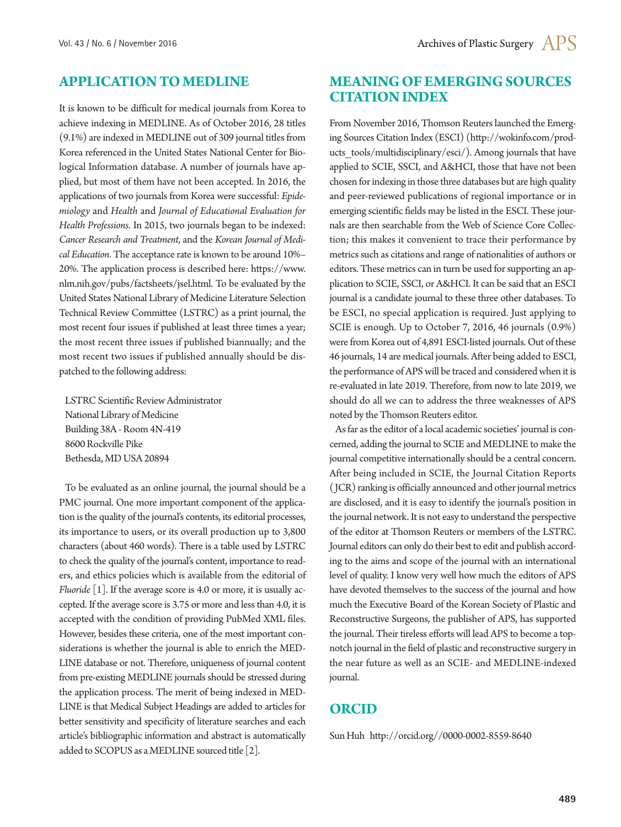### **APPLICATION TO MEDLINE**

It is known to be difficult for medical journals from Korea to achieve indexing in MEDLINE. As of October 2016, 28 titles (9.1%) are indexed in MEDLINE out of 309 journal titles from Korea referenced in the United States National Center for Biological Information database. A number of journals have applied, but most of them have not been accepted. In 2016, the applications of two journals from Korea were successful: *Epidemiology* and *Health* and *Journal of Educational Evaluation for Health Professions*. In 2015, two journals began to be indexed: *Cancer Research and Treatment*, and the *Korean Journal of Medical Education*. The acceptance rate is known to be around 10%– 20%. The application process is described here: https://www. nlm.nih.gov/pubs/factsheets/jsel.html. To be evaluated by the United States National Library of Medicine Literature Selection Technical Review Committee (LSTRC) as a print journal, the most recent four issues if published at least three times a year; the most recent three issues if published biannually; and the most recent two issues if published annually should be dispatched to the following address:

LSTRC Scientific Review Administrator National Library of Medicine Building 38A - Room 4N-419 8600 Rockville Pike Bethesda, MD USA 20894

To be evaluated as an online journal, the journal should be a PMC journal. One more important component of the application is the quality of the journal's contents, its editorial processes, its importance to users, or its overall production up to 3,800 characters (about 460 words). There is a table used by LSTRC to check the quality of the journal's content, importance to readers, and ethics policies which is available from the editorial of *Fluoride* [1]. If the average score is 4.0 or more, it is usually accepted. If the average score is 3.75 or more and less than 4.0, it is accepted with the condition of providing PubMed XML files. However, besides these criteria, one of the most important considerations is whether the journal is able to enrich the MED-LINE database or not. Therefore, uniqueness of journal content from pre-existing MEDLINE journals should be stressed during the application process. The merit of being indexed in MED-LINE is that Medical Subject Headings are added to articles for better sensitivity and specificity of literature searches and each article's bibliographic information and abstract is automatically added to SCOPUS as a MEDLINE sourced title [2].

## **MEANING OF EMERGING SOURCES CITATION INDEX**

From November 2016, Thomson Reuters launched the Emerging Sources Citation Index (ESCI) (http://wokinfo.com/products tools/multidisciplinary/esci/). Among journals that have applied to SCIE, SSCI, and A&HCI, those that have not been chosen for indexing in those three databases but are high quality and peer-reviewed publications of regional importance or in emerging scientific fields may be listed in the ESCI. These journals are then searchable from the Web of Science Core Collection; this makes it convenient to trace their performance by metrics such as citations and range of nationalities of authors or editors. These metrics can in turn be used for supporting an application to SCIE, SSCI, or A&HCI. It can be said that an ESCI journal is a candidate journal to these three other databases. To be ESCI, no special application is required. Just applying to SCIE is enough. Up to October 7, 2016, 46 journals (0.9%) were from Korea out of 4,891 ESCI-listed journals. Out of these 46 journals, 14 are medical journals. After being added to ESCI, the performance of APS will be traced and considered when it is re-evaluated in late 2019. Therefore, from now to late 2019, we should do all we can to address the three weaknesses of APS noted by the Thomson Reuters editor.

As far as the editor of a local academic societies' journal is concerned, adding the journal to SCIE and MEDLINE to make the journal competitive internationally should be a central concern. After being included in SCIE, the Journal Citation Reports (JCR) ranking is officially announced and other journal metrics are disclosed, and it is easy to identify the journal's position in the journal network. It is not easy to understand the perspective of the editor at Thomson Reuters or members of the LSTRC. Journal editors can only do their best to edit and publish according to the aims and scope of the journal with an international level of quality. I know very well how much the editors of APS have devoted themselves to the success of the journal and how much the Executive Board of the Korean Society of Plastic and Reconstructive Surgeons, the publisher of APS, has supported the journal. Their tireless efforts will lead APS to become a topnotch journal in the field of plastic and reconstructive surgery in the near future as well as an SCIE- and MEDLINE-indexed journal.

# **ORCID**

Sun Huh http://orcid.org//0000-0002-8559-8640